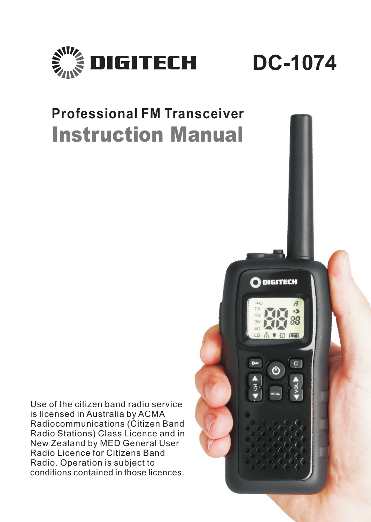



# **Professional FM Transceiver** *Instruction Manual*

Use of the citizen band radio service is licensed in Australia by ACMA Radiocommunications (Citizen Band Radio Stations) Class Licence and in New Zealand by MED General User Radio Licence for Citizens Band Radio. Operation is subject to conditions contained in those licences.

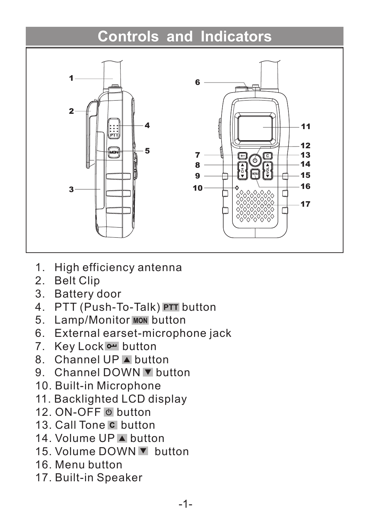# **Controls and Indicators**



- 1. High efficiency antenna
- 2. Belt Clip
- 3. Battery door
- 4. PTT (Push-To-Talk) PTT button
- 5. Lamp/Monitor MON button
- 6. External earset-microphone jack
- 7. Key Lock or button
- 8. Channel UP button
- 9. Channel DOWN button
- 10. Built-in Microphone
- 11. Backlighted LCD display
- 12. ON-OFF @ button
- 13. Call Tone C button
- 14. Volume UP A button
- 15. Volume DOWN button
- 16. Menu button
- 17. Built-in Speaker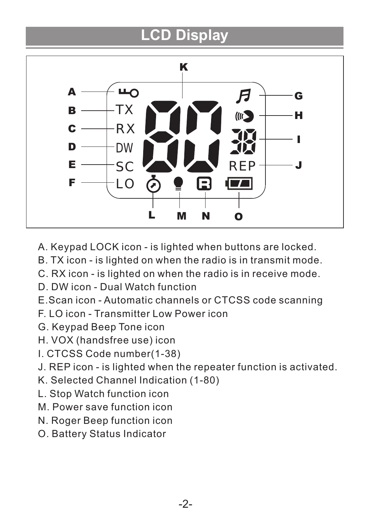# **LCD Display**



- A. Keypad LOCK icon is lighted when buttons are locked.
- B. TX icon is lighted on when the radio is in transmit mode.
- C. RX icon is lighted on when the radio is in receive mode.
- D. DW icon Dual Watch function
- E.Scan icon Automatic channels or CTCSS code scanning
- F. LO icon Transmitter Low Power icon
- G. Keypad Beep Tone icon
- H. VOX (handsfree use) icon
- I. CTCSS Code number(1-38)
- J. REP icon is lighted when the repeater function is activated.
- K. Selected Channel Indication (1-80)
- L. Stop Watch function icon
- M. Power save function icon
- N. Roger Beep function icon
- O. Battery Status Indicator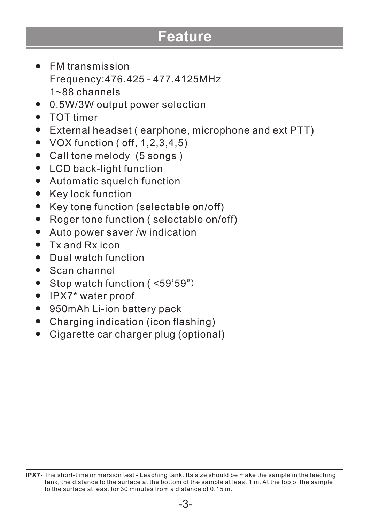# **Feature**

- FM transmission Frequency:476.425 - 477.4125MHz 1~88 channels
- 0.5W/3W output power selection
- TOT timer
- External headset ( earphone, microphone and ext PTT)
- $\bullet$  VOX function ( off, 1,2,3,4,5)
- Call tone melody (5 songs )
- LCD back-light function
- $\bullet$ Automatic squelch function
- Key lock function  $\bullet$
- $\bullet$ Key tone function (selectable on/off)
- Roger tone function ( selectable on/off)  $\bullet$
- $\bullet$ Auto power saver /w indication
- Tx and Rx icon
- Dual watch function
- Scan channel
- Stop watch function (<59'59")
- IPX7\* water proof
- 950mAh Li-ion battery pack  $\bullet$
- Charging indication (icon flashing)
- Cigarette car charger plug (optional)

**IPX7-** The short-time immersion test - Leaching tank. Its size should be make the sample in the leaching tank, the distance to the surface at the bottom of the sample at least 1 m. At the top of the sample to the surface at least for 30 minutes from a distance of 0.15 m.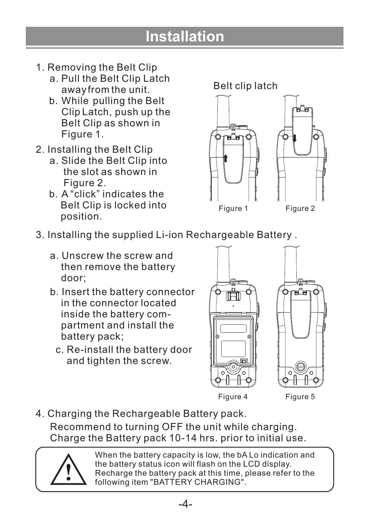# **Installation**

- 1. Removing the Belt Clip
	- a. Pull the Belt Clip Latch away from the unit.
	- b. While pulling the Belt Clip Latch, push up the Belt Clip as shown in Figure 1.
- 2. Installing the Belt Clip
	- a. Slide the Belt Clip into the slot as shown in Figure 2.
	- b. A "click" indicates the Belt Clip is locked into position.



- 3. Installing the supplied Li-ion Rechargeable Battery .
	- a. Unscrew the screw and then remove the battery door;
	- b. Insert the battery connector in the connector located inside the battery com partment and install the battery pack;
		- c. Re-install the battery door and tighten the screw.





Figure 4 Figure 5

4. Charging the Rechargeable Battery pack.

Recommend to turning OFF the unit while charging. Charge the Battery pack 10-14 hrs. prior to initial use.

When the battery capacity is low, the bA Lo indication and the battery status icon will flash on the LCD display. Recharge the battery pack at this time, please refer to the following item "BATTERY CHARGING".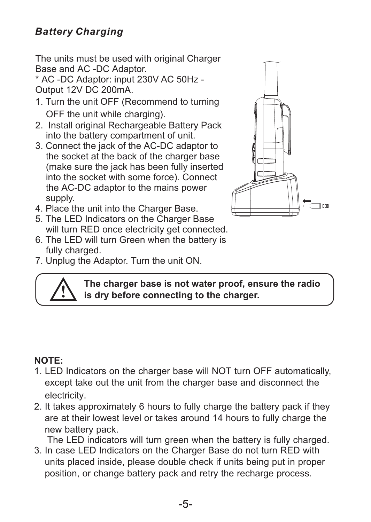#### *Battery Charging*

The units must be used with original Charger Base and AC -DC Adaptor.

\* AC -DC Adaptor: input 230V AC 50Hz - Output 12V DC 200mA.

- 1. Turn the unit OFF (Recommend to turning OFF the unit while charging).
- 2. Install original Rechargeable Battery Pack into the battery compartment of unit.
- 3. Connect the jack of the AC-DC adaptor to the socket at the back of the charger base (make sure the jack has been fully inserted into the socket with some force). Connect the AC-DC adaptor to the mains power supply.
- 4. Place the unit into the Charger Base.
- 5. The LED Indicators on the Charger Base will turn RED once electricity get connected.
- 6. The LED will turn Green when the battery is fully charged.
- 7. Unplug the Adaptor. Turn the unit ON.





**The charger base is not water proof, ensure the radio is dry before connecting to the charger.**

#### **NOTE:**

- 1. LED Indicators on the charger base will NOT turn OFF automatically, except take out the unit from the charger base and disconnect the electricity.
- 2. It takes approximately 6 hours to fully charge the battery pack if they are at their lowest level or takes around 14 hours to fully charge the new battery pack.

The LED indicators will turn green when the battery is fully charged.

3. In case LED Indicators on the Charger Base do not turn RED with units placed inside, please double check if units being put in proper position, or change battery pack and retry the recharge process.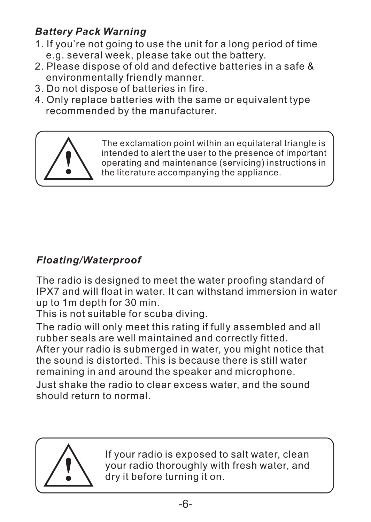# *Battery Pack Warning*

- 1. If you're not going to use the unit for a long period of time e.g. several week, please take out the battery.
- 2. Please dispose of old and defective batteries in a safe & environmentally friendly manner.
- 3. Do not dispose of batteries in fire.
- 4. Only replace batteries with the same or equivalent type recommended by the manufacturer.



The exclamation point within an equilateral triangle is intended to alert the user to the presence of important operating and maintenance (servicing) instructions in the literature accompanying the appliance.

# *Floating/Waterproof*

The radio is designed to meet the water proofing standard of IPX7 and will float in water. It can withstand immersion in water up to 1m depth for 30 min.

This is not suitable for scuba diving.

The radio will only meet this rating if fully assembled and all rubber seals are well maintained and correctly fitted. After your radio is submerged in water, you might notice that the sound is distorted. This is because there is still water remaining in and around the speaker and microphone.

Just shake the radio to clear excess water, and the sound should return to normal.



If your radio is exposed to salt water, clean your radio thoroughly with fresh water, and dry it before turning it on.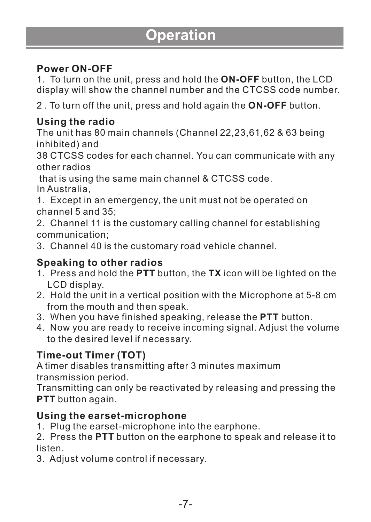# **Operation**

#### **Power ON-OFF**

1. To turn on the unit, press and hold the **ON-OFF** button, the LCD display will show the channel number and the CTCSS code number.

2 . To turn off the unit, press and hold again the **ON-OFF** button.

#### **Using the radio**

The unit has 80 main channels (Channel 22,23,61,62 & 63 being inhibited) and

38 CTCSS codes for each channel. You can communicate with any other radios

 that is using the same main channel & CTCSS code. In Australia,

1. Except in an emergency, the unit must not be operated on channel 5 and 35;

2. Channel 11 is the customary calling channel for establishing communication;

3. Channel 40 is the customary road vehicle channel.

#### **Speaking to other radios**

- 1. Press and hold the **PTT** button, the **TX** icon will be lighted on the LCD display.
- 2. Hold the unit in a vertical position with the Microphone at 5-8 cm from the mouth and then speak.
- 3. When you have finished speaking, release the **PTT** button.
- 4. Now you are ready to receive incoming signal. Adjust the volume to the desired level if necessary.

### **Time-out Timer (TOT)**

A timer disables transmitting after 3 minutes maximum transmission period.

Transmitting can only be reactivated by releasing and pressing the **PTT** button again.

#### **Using the earset-microphone**

1. Plug the earset-microphone into the earphone.

2. Press the **PTT** button on the earphone to speak and release it to listen.

3. Adjust volume control if necessary.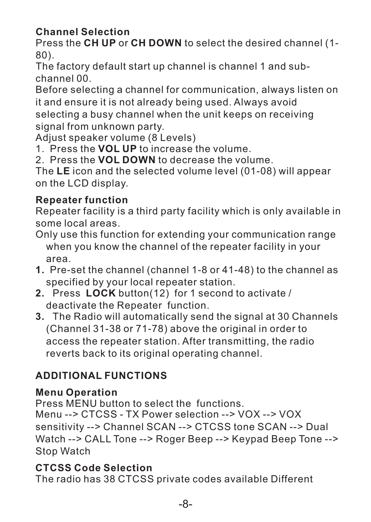### **Channel Selection**

Press the **CH UP** or **CH DOWN** to select the desired channel (1- 80).

The factory default start up channel is channel 1 and subchannel 00.

Before selecting a channel for communication, always listen on it and ensure it is not already being used. Always avoid selecting a busy channel when the unit keeps on receiving signal from unknown party.

Adjust speaker volume (8 Levels)

1. Press the **VOL UP** to increase the volume.

2. Press the **VOL DOWN** to decrease the volume.

The **LE** icon and the selected volume level (01-08) will appear on the LCD display.

### **Repeater function**

Repeater facility is a third party facility which is only available in some local areas.

Only use this function for extending your communication range when you know the channel of the repeater facility in your area.

- **1.** Pre-set the channel (channel 1-8 or 41-48) to the channel as specified by your local repeater station.
- **2.** Press **LOCK** button(12) for 1 second to activate / deactivate the Repeater function.
- **3.** The Radio will automatically send the signal at 30 Channels (Channel 31-38 or 71-78) above the original in order to access the repeater station. After transmitting, the radio reverts back to its original operating channel.

# **ADDITIONAL FUNCTIONS**

### **Menu Operation**

Press MENU button to select the functions. Menu --> CTCSS - TX Power selection --> VOX --> VOX sensitivity --> Channel SCAN --> CTCSS tone SCAN --> Dual Watch --> CALL Tone --> Roger Beep --> Keypad Beep Tone --> Stop Watch

#### **CTCSS Code Selection**

The radio has 38 CTCSS private codes available Different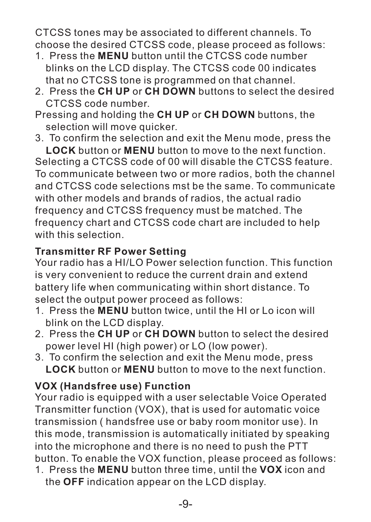CTCSS tones may be associated to different channels. To choose the desired CTCSS code, please proceed as follows:

- 1. Press the **MENU** button until the CTCSS code number blinks on the LCD display. The CTCSS code 00 indicates that no CTCSS tone is programmed on that channel.
- 2. Press the **CH UP** or **CH DOWN** buttons to select the desired CTCSS code number.
- Pressing and holding the **CH UP** or **CH DOWN** buttons, the selection will move quicker.
- 3. To confirm the selection and exit the Menu mode, press the

**LOCK** button or **MENU** button to move to the next function. Selecting a CTCSS code of 00 will disable the CTCSS feature. To communicate between two or more radios, both the channel and CTCSS code selections mst be the same. To communicate with other models and brands of radios, the actual radio frequency and CTCSS frequency must be matched. The frequency chart and CTCSS code chart are included to help with this selection.

#### **Transmitter RF Power Setting**

Your radio has a HI/LO Power selection function. This function is very convenient to reduce the current drain and extend battery life when communicating within short distance. To select the output power proceed as follows:

- 1. Press the **MENU** button twice, until the HI or Lo icon will blink on the LCD display.
- 2. Press the **CH UP** or **CH DOWN** button to select the desired power level HI (high power) or LO (low power).
- 3. To confirm the selection and exit the Menu mode, press **LOCK** button or **MENU** button to move to the next function.

### **VOX (Handsfree use) Function**

Your radio is equipped with a user selectable Voice Operated Transmitter function (VOX), that is used for automatic voice transmission ( handsfree use or baby room monitor use). In this mode, transmission is automatically initiated by speaking into the microphone and there is no need to push the PTT button. To enable the VOX function, please proceed as follows:

1. Press the **MENU** button three time, until the **VOX** icon and the **OFF** indication appear on the LCD display.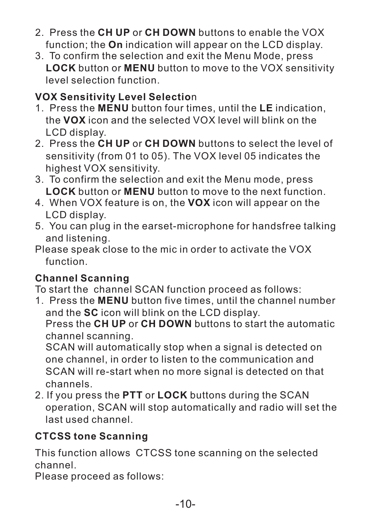- 2. Press the **CH UP** or **CH DOWN** buttons to enable the VOX function; the **On** indication will appear on the LCD display.
- 3. To confirm the selection and exit the Menu Mode, press **LOCK** button or **MENU** button to move to the VOX sensitivity level selection function.

### **VOX Sensitivity Level Selectio**n

- 1. Press the **MENU** button four times, until the **LE** indication, the **VOX** icon and the selected VOX level will blink on the LCD display.
- 2. Press the **CH UP** or **CH DOWN** buttons to select the level of sensitivity (from 01 to 05). The VOX level 05 indicates the highest VOX sensitivity.
- 3. To confirm the selection and exit the Menu mode, press **LOCK** button or **MENU** button to move to the next function.
- 4. When VOX feature is on, the **VOX** icon will appear on the LCD display.
- 5. You can plug in the earset-microphone for handsfree talking and listening.
- Please speak close to the mic in order to activate the VOX function.

### **Channel Scanning**

To start the channel SCAN function proceed as follows:

1. Press the **MENU** button five times, until the channel number and the **SC** icon will blink on the LCD display.

Press the **CH UP** or **CH DOWN** buttons to start the automatic channel scanning.

SCAN will automatically stop when a signal is detected on one channel, in order to listen to the communication and SCAN will re-start when no more signal is detected on that channels.

2. If you press the **PTT** or **LOCK** buttons during the SCAN operation, SCAN will stop automatically and radio will set the last used channel.

### **CTCSS tone Scanning**

This function allows CTCSS tone scanning on the selected channel.

Please proceed as follows: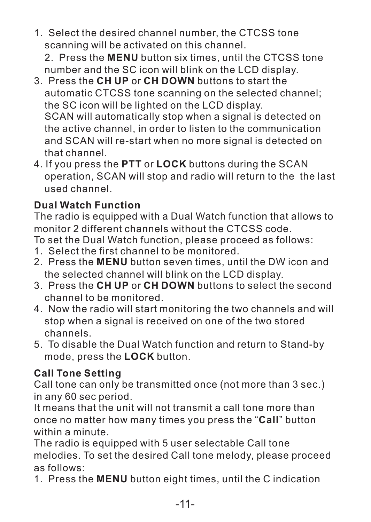1. Select the desired channel number, the CTCSS tone scanning will be activated on this channel.

2. Press the **MENU** button six times, until the CTCSS tone number and the SC icon will blink on the LCD display.

- 3. Press the **CH UP** or **CH DOWN** buttons to start the automatic CTCSS tone scanning on the selected channel; the SC icon will be lighted on the LCD display. SCAN will automatically stop when a signal is detected on the active channel, in order to listen to the communication and SCAN will re-start when no more signal is detected on that channel.
- 4. If you press the **PTT** or **LOCK** buttons during the SCAN operation, SCAN will stop and radio will return to the the last used channel.

# **Dual Watch Function**

The radio is equipped with a Dual Watch function that allows to monitor 2 different channels without the CTCSS code.

To set the Dual Watch function, please proceed as follows:

- 1. Select the first channel to be monitored.
- 2. Press the **MENU** button seven times, until the DW icon and the selected channel will blink on the LCD display.
- 3. Press the **CH UP** or **CH DOWN** buttons to select the second channel to be monitored.
- 4. Now the radio will start monitoring the two channels and will stop when a signal is received on one of the two stored channels.
- 5. To disable the Dual Watch function and return to Stand-by mode, press the **LOCK** button.

### **Call Tone Setting**

Call tone can only be transmitted once (not more than 3 sec.) in any 60 sec period.

It means that the unit will not transmit a call tone more than once no matter how many times you press the "**Call**" button within a minute.

The radio is equipped with 5 user selectable Call tone melodies. To set the desired Call tone melody, please proceed as follows:

1. Press the **MENU** button eight times, until the C indication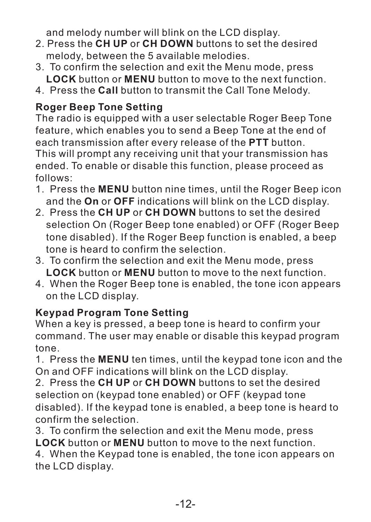and melody number will blink on the LCD display.

- 2. Press the **CH UP** or **CH DOWN** buttons to set the desired melody, between the 5 available melodies.
- 3. To confirm the selection and exit the Menu mode, press **LOCK** button or **MENU** button to move to the next function.
- 4. Press the **Call** button to transmit the Call Tone Melody.

# **Roger Beep Tone Setting**

The radio is equipped with a user selectable Roger Beep Tone feature, which enables you to send a Beep Tone at the end of each transmission after every release of the **PTT** button. This will prompt any receiving unit that your transmission has ended. To enable or disable this function, please proceed as follows:

- 1. Press the **MENU** button nine times, until the Roger Beep icon and the **On** or **OFF** indications will blink on the LCD display.
- 2. Press the **CH UP** or **CH DOWN** buttons to set the desired selection On (Roger Beep tone enabled) or OFF (Roger Beep tone disabled). If the Roger Beep function is enabled, a beep tone is heard to confirm the selection.
- 3. To confirm the selection and exit the Menu mode, press **LOCK** button or **MENU** button to move to the next function.
- 4. When the Roger Beep tone is enabled, the tone icon appears on the LCD display.

### **Keypad Program Tone Setting**

When a key is pressed, a beep tone is heard to confirm your command. The user may enable or disable this keypad program tone.

1. Press the **MENU** ten times, until the keypad tone icon and the On and OFF indications will blink on the LCD display.

2. Press the **CH UP** or **CH DOWN** buttons to set the desired selection on (keypad tone enabled) or OFF (keypad tone disabled). If the keypad tone is enabled, a beep tone is heard to confirm the selection.

3. To confirm the selection and exit the Menu mode, press **LOCK** button or **MENU** button to move to the next function.

4. When the Keypad tone is enabled, the tone icon appears on the LCD display.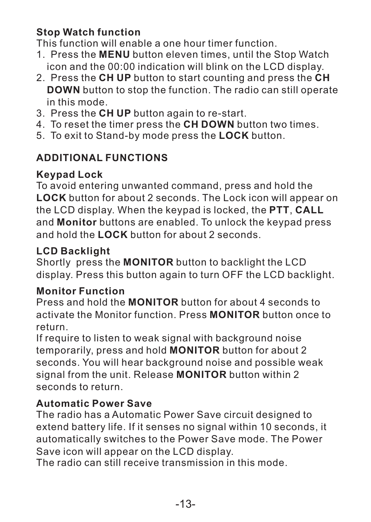#### **Stop Watch function**

This function will enable a one hour timer function.

- 1. Press the **MENU** button eleven times, until the Stop Watch icon and the 00:00 indication will blink on the LCD display.
- 2. Press the **CH UP** button to start counting and press the **CH DOWN** button to stop the function. The radio can still operate in this mode.
- 3. Press the **CH UP** button again to re-start.
- 4. To reset the timer press the **CH DOWN** button two times.
- 5. To exit to Stand-by mode press the **LOCK** button.

# **ADDITIONAL FUNCTIONS**

# **Keypad Lock**

To avoid entering unwanted command, press and hold the **LOCK** button for about 2 seconds. The Lock icon will appear on the LCD display. When the keypad is locked, the **PTT**, **CALL** and **Monitor** buttons are enabled. To unlock the keypad press and hold the **LOCK** button for about 2 seconds.

# **LCD Backlight**

Shortly press the **MONITOR** button to backlight the LCD display. Press this button again to turn OFF the LCD backlight.

### **Monitor Function**

Press and hold the **MONITOR** button for about 4 seconds to activate the Monitor function. Press **MONITOR** button once to return.

If require to listen to weak signal with background noise temporarily, press and hold **MONITOR** button for about 2 seconds. You will hear background noise and possible weak signal from the unit. Release **MONITOR** button within 2 seconds to return.

### **Automatic Power Save**

The radio has a Automatic Power Save circuit designed to extend battery life. If it senses no signal within 10 seconds, it automatically switches to the Power Save mode. The Power Save icon will appear on the LCD display.

The radio can still receive transmission in this mode.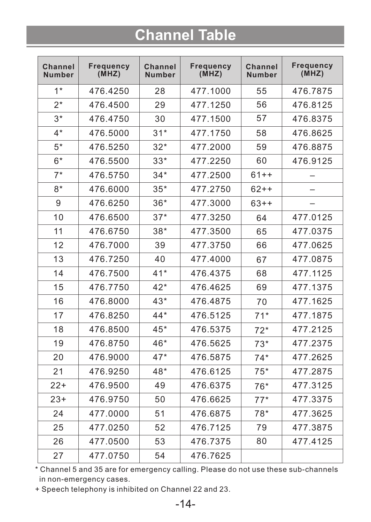# **Channel Table**

| Channel<br><b>Number</b> | Frequency<br>(MHZ) | Channel<br><b>Number</b> | Frequency<br>(MHZ) | Channel<br><b>Number</b> | <b>Frequency</b><br>(MHZ) |
|--------------------------|--------------------|--------------------------|--------------------|--------------------------|---------------------------|
| $1*$                     | 476.4250           | 28                       | 477.1000           | 55                       | 476.7875                  |
| $2^*$                    | 476.4500           | 29                       | 477.1250           | 56                       | 476.8125                  |
| $3*$                     | 476.4750           | 30                       | 477.1500           | 57                       | 476.8375                  |
| $4*$                     | 476.5000           | $31*$                    | 477.1750           | 58                       | 476.8625                  |
| $5*$                     | 476.5250           | $32*$                    | 477.2000           | 59                       | 476.8875                  |
| $6*$                     | 476.5500           | $33*$                    | 477.2250           | 60                       | 476.9125                  |
| $7*$                     | 476.5750           | $34*$                    | 477.2500           | $61++$                   | $\overline{\phantom{0}}$  |
| $8*$                     | 476.6000           | $35*$                    | 477.2750           | $62 + +$                 |                           |
| 9                        | 476.6250           | $36*$                    | 477.3000           | $63++$                   |                           |
| 10                       | 476.6500           | $37*$                    | 477.3250           | 64                       | 477.0125                  |
| 11                       | 476.6750           | $38*$                    | 477.3500           | 65                       | 477.0375                  |
| 12                       | 476.7000           | 39                       | 477.3750           | 66                       | 477.0625                  |
| 13                       | 476.7250           | 40                       | 477.4000           | 67                       | 477.0875                  |
| 14                       | 476.7500           | $41*$                    | 476.4375           | 68                       | 477.1125                  |
| 15                       | 476.7750           | $42*$                    | 476.4625           | 69                       | 477.1375                  |
| 16                       | 476.8000           | $43*$                    | 476.4875           | 70                       | 477.1625                  |
| 17                       | 476.8250           | $44*$                    | 476.5125           | $71*$                    | 477.1875                  |
| 18                       | 476.8500           | $45*$                    | 476.5375           | $72*$                    | 477.2125                  |
| 19                       | 476.8750           | 46*                      | 476.5625           | $73*$                    | 477.2375                  |
| 20                       | 476.9000           | $47*$                    | 476.5875           | $74*$                    | 477.2625                  |
| 21                       | 476.9250           | 48*                      | 476.6125           | $75*$                    | 477.2875                  |
| $22+$                    | 476.9500           | 49                       | 476.6375           | $76*$                    | 477.3125                  |
| $23+$                    | 476.9750           | 50                       | 476.6625           | $77*$                    | 477.3375                  |
| 24                       | 477.0000           | 51                       | 476.6875           | $78*$                    | 477.3625                  |
| 25                       | 477.0250           | 52                       | 476.7125           | 79                       | 477.3875                  |
| 26                       | 477.0500           | 53                       | 476.7375           | 80                       | 477.4125                  |
| 27                       | 477.0750           | 54                       | 476.7625           |                          |                           |

\* Channel 5 and 35 are for emergency calling. Please do not use these sub-channels in non-emergency cases.

+ Speech telephony is inhibited on Channel 22 and 23.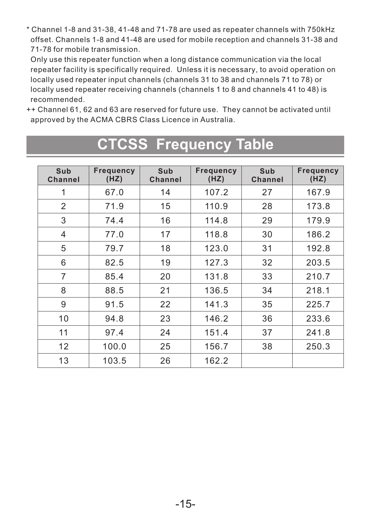\* Channel 1-8 and 31-38, 41-48 and 71-78 are used as repeater channels with 750kHz offset. Channels 1-8 and 41-48 are used for mobile reception and channels 31-38 and 71-78 for mobile transmission.

 Only use this repeater function when a long distance communication via the local repeater facility is specifically required. Unless it is necessary, to avoid operation on locally used repeater input channels (channels 31 to 38 and channels 71 to 78) or locally used repeater receiving channels (channels 1 to 8 and channels 41 to 48) is recommended.

++ Channel 61, 62 and 63 are reserved for future use. They cannot be activated until approved by the ACMA CBRS Class Licence in Australia.

| Sub            | Frequency | Sub     | Frequency | Sub     | Frequency |
|----------------|-----------|---------|-----------|---------|-----------|
| Channel        | (HZ)      | Channel | (HZ)      | Channel | (HZ)      |
| 1              | 67.0      | 14      | 107.2     | 27      | 167.9     |
| $\overline{2}$ | 71.9      | 15      | 110.9     | 28      | 173.8     |
| 3              | 74.4      | 16      | 114.8     | 29      | 179.9     |
| 4              | 77.0      | 17      | 118.8     | 30      | 186.2     |
| 5              | 79.7      | 18      | 123.0     | 31      | 192.8     |
| 6              | 82.5      | 19      | 127.3     | 32      | 203.5     |
| $\overline{7}$ | 85.4      | 20      | 131.8     | 33      | 210.7     |
| 8              | 88.5      | 21      | 136.5     | 34      | 218.1     |
| 9              | 91.5      | 22      | 141.3     | 35      | 225.7     |
| 10             | 94.8      | 23      | 146.2     | 36      | 233.6     |
| 11             | 97.4      | 24      | 151.4     | 37      | 241.8     |
| 12             | 100.0     | 25      | 156.7     | 38      | 250.3     |
| 13             | 103.5     | 26      | 162.2     |         |           |

# **CTCSS Frequency Table**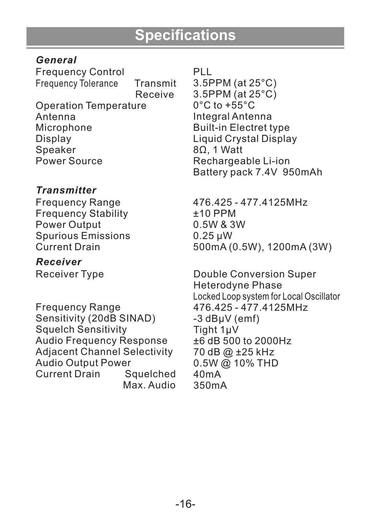#### *General*

Frequency Control Frequency Tolerance Transmit Receive Operation Temperature Antenna Microphone Display Speaker Power Source

#### *Transmitter*

Frequency Range Frequency Stability Power Output Spurious Emissions Current Drain

*Receiver* Receiver Type

Frequency Range Sensitivity (20dB SINAD) Squelch Sensitivity Audio Frequency Response Adjacent Channel Selectivity Audio Output Power Current Drain Max. Audio PLL

3.5PPM (at 25°C) 3.5PPM (at 25°C)  $0^{\circ}$ C to +55 $^{\circ}$ C Integral Antenna Built-in Electret type Liquid Crystal Display 8Ω, 1 Watt Rechargeable Li-ion Battery pack 7.4V 950mAh

476.425 - 477.4125MHz ±10 PPM 0.5W & 3W 0.25 μW 500mA (0.5W), 1200mA (3W)

Double Conversion Super Heterodyne Phase Locked Loop system for Local Oscillator 476.425 - 477.4125MHz -3 dBμV (emf) Tight 1μV ±6 dB 500 to 2000Hz 70 dB @ ±25 kHz 0.5W @ 10% THD 40mA 350mA